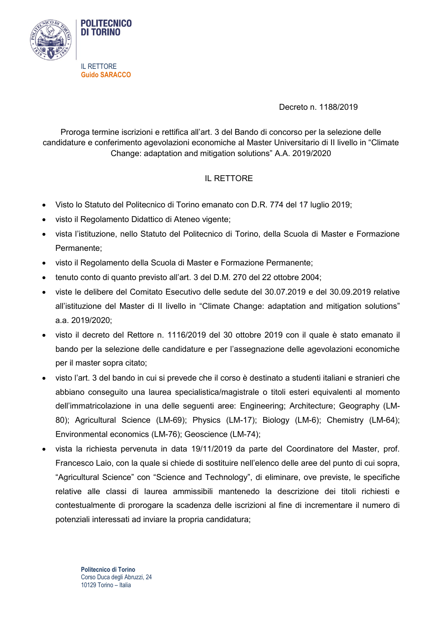

IL RETTORE **Guido SARACCO**

Decreto n. 1188/2019

Proroga termine iscrizioni e rettifica all'art. 3 del Bando di concorso per la selezione delle candidature e conferimento agevolazioni economiche al Master Universitario di II livello in "Climate Change: adaptation and mitigation solutions" A.A. 2019/2020

## IL RETTORE

- Visto lo Statuto del Politecnico di Torino emanato con D.R. 774 del 17 luglio 2019;
- visto il Regolamento Didattico di Ateneo vigente;
- vista l'istituzione, nello Statuto del Politecnico di Torino, della Scuola di Master e Formazione Permanente;
- visto il Regolamento della Scuola di Master e Formazione Permanente;
- tenuto conto di quanto previsto all'art. 3 del D.M. 270 del 22 ottobre 2004;
- viste le delibere del Comitato Esecutivo delle sedute del 30.07.2019 e del 30.09.2019 relative all'istituzione del Master di II livello in "Climate Change: adaptation and mitigation solutions" a.a. 2019/2020;
- visto il decreto del Rettore n. 1116/2019 del 30 ottobre 2019 con il quale è stato emanato il bando per la selezione delle candidature e per l'assegnazione delle agevolazioni economiche per il master sopra citato;
- visto l'art. 3 del bando in cui si prevede che il corso è destinato a studenti italiani e stranieri che abbiano conseguito una laurea specialistica/magistrale o titoli esteri equivalenti al momento dell'immatricolazione in una delle seguenti aree: Engineering; Architecture; Geography (LM-80); Agricultural Science (LM-69); Physics (LM-17); Biology (LM-6); Chemistry (LM-64); Environmental economics (LM-76); Geoscience (LM-74);
- vista la richiesta pervenuta in data 19/11/2019 da parte del Coordinatore del Master, prof. Francesco Laio, con la quale si chiede di sostituire nell'elenco delle aree del punto di cui sopra, "Agricultural Science" con "Science and Technology", di eliminare, ove previste, le specifiche relative alle classi di laurea ammissibili mantenedo la descrizione dei titoli richiesti e contestualmente di prorogare la scadenza delle iscrizioni al fine di incrementare il numero di potenziali interessati ad inviare la propria candidatura;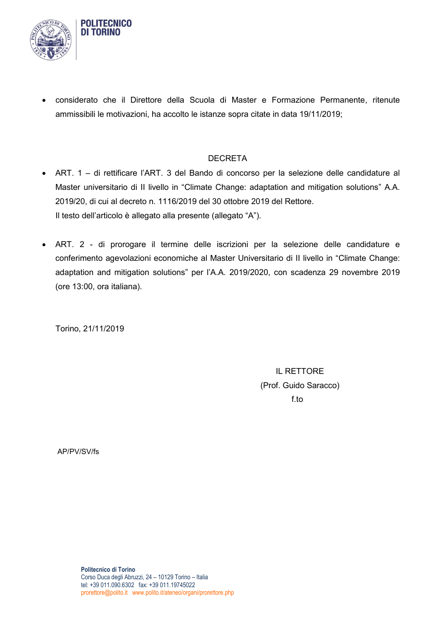

**POLITECNICO DI TORINO** 

 considerato che il Direttore della Scuola di Master e Formazione Permanente, ritenute ammissibili le motivazioni, ha accolto le istanze sopra citate in data 19/11/2019;

## DECRETA

- ART. 1 di rettificare l'ART. 3 del Bando di concorso per la selezione delle candidature al Master universitario di II livello in "Climate Change: adaptation and mitigation solutions" A.A. 2019/20, di cui al decreto n. 1116/2019 del 30 ottobre 2019 del Rettore. Il testo dell'articolo è allegato alla presente (allegato "A").
- ART. 2 di prorogare il termine delle iscrizioni per la selezione delle candidature e conferimento agevolazioni economiche al Master Universitario di II livello in "Climate Change: adaptation and mitigation solutions" per l'A.A. 2019/2020, con scadenza 29 novembre 2019 (ore 13:00, ora italiana).

Torino, 21/11/2019

IL RETTORE (Prof. Guido Saracco) f.to

AP/PV/SV/fs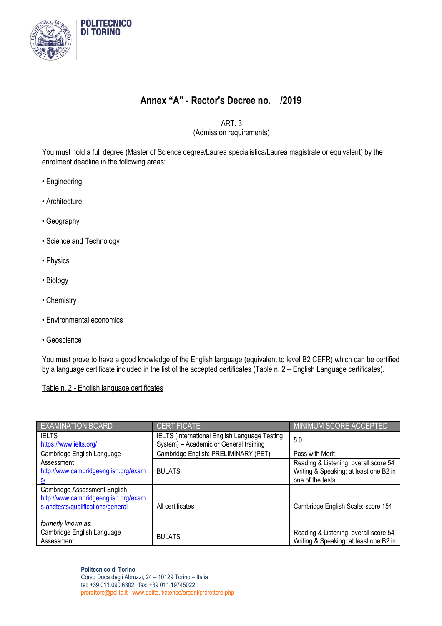

## **Annex "A" - Rector's Decree no. /2019**

ART. 3

(Admission requirements)

You must hold a full degree (Master of Science degree/Laurea specialistica/Laurea magistrale or equivalent) by the enrolment deadline in the following areas:

- Engineering
- Architecture
- Geography
- Science and Technology
- Physics
- Biology
- Chemistry
- Environmental economics
- Geoscience

You must prove to have a good knowledge of the English language (equivalent to level B2 CEFR) which can be certified by a language certificate included in the list of the accepted certificates (Table n. 2 – English Language certificates).

## Table n. 2 - English language certificates

| <b>EXAMINATION BOARD</b>                                                                                                        | <b>CERTIFICATE</b>                                                                             | <b>MINIMUM SCORE ACCEPTED</b>                                                                       |
|---------------------------------------------------------------------------------------------------------------------------------|------------------------------------------------------------------------------------------------|-----------------------------------------------------------------------------------------------------|
| <b>IELTS</b><br>https://www.ielts.org/                                                                                          | <b>IELTS (International English Language Testing</b><br>System) - Academic or General training | 5.0                                                                                                 |
| Cambridge English Language                                                                                                      | Cambridge English: PRELIMINARY (PET)                                                           | Pass with Merit                                                                                     |
| Assessment<br>http://www.cambridgeenglish.org/exam                                                                              | <b>BULATS</b>                                                                                  | Reading & Listening: overall score 54<br>Writing & Speaking: at least one B2 in<br>one of the tests |
| Cambridge Assessment English<br>http://www.cambridgeenglish.org/exam<br>s-andtests/qualifications/general<br>formerly known as: | All certificates                                                                               | Cambridge English Scale: score 154                                                                  |
| Cambridge English Language<br>Assessment                                                                                        | <b>BULATS</b>                                                                                  | Reading & Listening: overall score 54<br>Writing & Speaking: at least one B2 in                     |